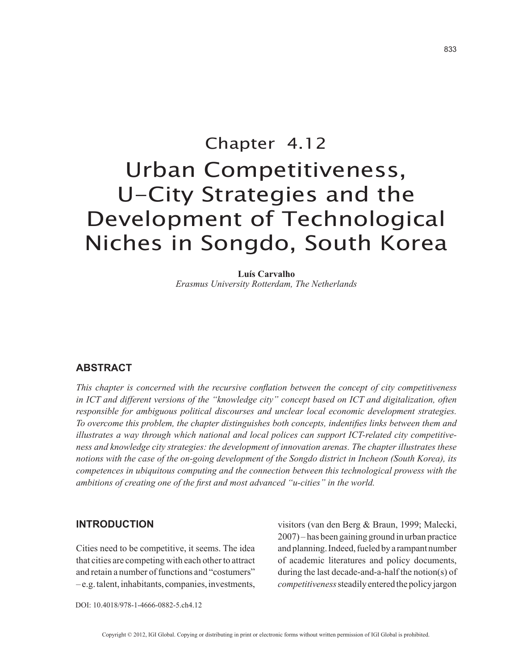# Chapter 4.12 Urban Competitiveness, U-City Strategies and the Development of Technological Niches in Songdo, South Korea

**Luís Carvalho** *Erasmus University Rotterdam, The Netherlands*

# **ABSTRACT**

*This chapter is concerned with the recursive conflation between the concept of city competitiveness in ICT and different versions of the "knowledge city" concept based on ICT and digitalization, often responsible for ambiguous political discourses and unclear local economic development strategies. To overcome this problem, the chapter distinguishes both concepts, indentifies links between them and illustrates a way through which national and local polices can support ICT-related city competitiveness and knowledge city strategies: the development of innovation arenas. The chapter illustrates these notions with the case of the on-going development of the Songdo district in Incheon (South Korea), its competences in ubiquitous computing and the connection between this technological prowess with the ambitions of creating one of the first and most advanced "u-cities" in the world.*

#### **INTRODUCTION**

Cities need to be competitive, it seems. The idea that cities are competing with each other to attract and retain a number of functions and "costumers" – e.g. talent, inhabitants, companies, investments, visitors (van den Berg & Braun, 1999; Malecki, 2007) – has been gaining ground in urban practice and planning. Indeed, fueled by a rampant number of academic literatures and policy documents, during the last decade-and-a-half the notion(s) of *competitiveness* steadily entered the policy jargon

DOI: 10.4018/978-1-4666-0882-5.ch4.12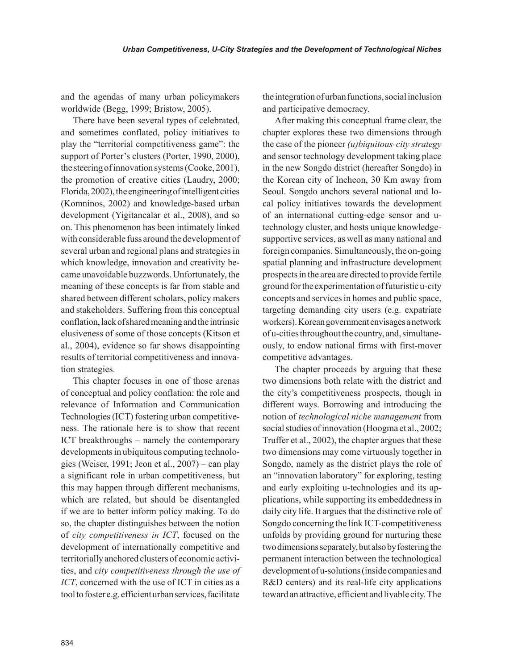and the agendas of many urban policymakers worldwide (Begg, 1999; Bristow, 2005).

There have been several types of celebrated, and sometimes conflated, policy initiatives to play the "territorial competitiveness game": the support of Porter's clusters (Porter, 1990, 2000), the steering of innovation systems (Cooke, 2001), the promotion of creative cities (Laudry, 2000; Florida, 2002), the engineering of intelligent cities (Komninos, 2002) and knowledge-based urban development (Yigitancalar et al., 2008), and so on. This phenomenon has been intimately linked with considerable fuss around the development of several urban and regional plans and strategies in which knowledge, innovation and creativity became unavoidable buzzwords. Unfortunately, the meaning of these concepts is far from stable and shared between different scholars, policy makers and stakeholders. Suffering from this conceptual conflation, lack of shared meaning and the intrinsic elusiveness of some of those concepts (Kitson et al., 2004), evidence so far shows disappointing results of territorial competitiveness and innovation strategies.

This chapter focuses in one of those arenas of conceptual and policy conflation: the role and relevance of Information and Communication Technologies (ICT) fostering urban competitiveness. The rationale here is to show that recent ICT breakthroughs – namely the contemporary developments in ubiquitous computing technologies (Weiser, 1991; Jeon et al., 2007) – can play a significant role in urban competitiveness, but this may happen through different mechanisms, which are related, but should be disentangled if we are to better inform policy making. To do so, the chapter distinguishes between the notion of *city competitiveness in ICT*, focused on the development of internationally competitive and territorially anchored clusters of economic activities, and *city competitiveness through the use of ICT*, concerned with the use of ICT in cities as a tool to foster e.g. efficient urban services, facilitate

the integration of urban functions, social inclusion and participative democracy.

After making this conceptual frame clear, the chapter explores these two dimensions through the case of the pioneer *(u)biquitous-city strategy* and sensor technology development taking place in the new Songdo district (hereafter Songdo) in the Korean city of Incheon, 30 Km away from Seoul. Songdo anchors several national and local policy initiatives towards the development of an international cutting-edge sensor and utechnology cluster, and hosts unique knowledgesupportive services, as well as many national and foreign companies. Simultaneously, the on-going spatial planning and infrastructure development prospects in the area are directed to provide fertile ground for the experimentation of futuristic u-city concepts and services in homes and public space, targeting demanding city users (e.g. expatriate workers). Korean government envisages a network of u-cities throughout the country, and, simultaneously, to endow national firms with first-mover competitive advantages.

The chapter proceeds by arguing that these two dimensions both relate with the district and the city's competitiveness prospects, though in different ways. Borrowing and introducing the notion of *technological niche management* from social studies of innovation (Hoogma et al., 2002; Truffer et al., 2002), the chapter argues that these two dimensions may come virtuously together in Songdo, namely as the district plays the role of an "innovation laboratory" for exploring, testing and early exploiting u-technologies and its applications, while supporting its embeddedness in daily city life. It argues that the distinctive role of Songdo concerning the link ICT-competitiveness unfolds by providing ground for nurturing these two dimensions separately, but also by fostering the permanent interaction between the technological development of u-solutions (inside companies and R&D centers) and its real-life city applications toward an attractive, efficient and livable city. The